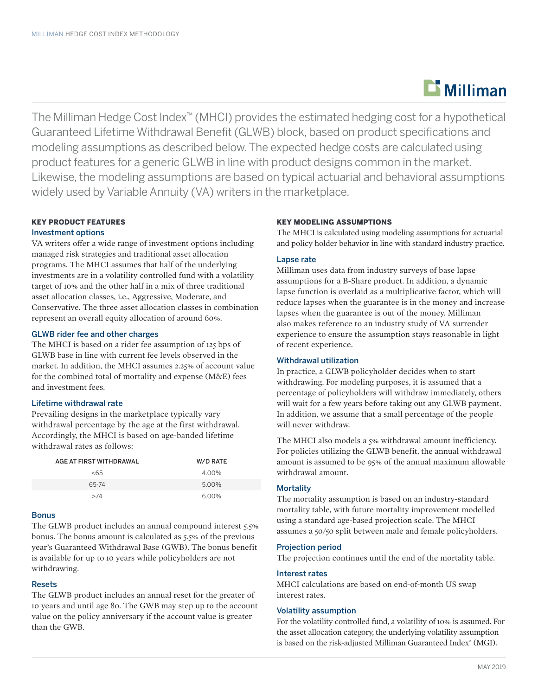# $\mathbf{r}$  Milliman

The Milliman Hedge Cost Index™ (MHCI) provides the estimated hedging cost for a hypothetical Guaranteed Lifetime Withdrawal Benefit (GLWB) block, based on product specifications and modeling assumptions as described below. The expected hedge costs are calculated using product features for a generic GLWB in line with product designs common in the market. Likewise, the modeling assumptions are based on typical actuarial and behavioral assumptions widely used by Variable Annuity (VA) writers in the marketplace.

# KEY PRODUCT FEATURES

# Investment options

VA writers offer a wide range of investment options including managed risk strategies and traditional asset allocation programs. The MHCI assumes that half of the underlying investments are in a volatility controlled fund with a volatility target of 10% and the other half in a mix of three traditional asset allocation classes, i.e., Aggressive, Moderate, and Conservative. The three asset allocation classes in combination represent an overall equity allocation of around 60%.

# GLWB rider fee and other charges

The MHCI is based on a rider fee assumption of 125 bps of GLWB base in line with current fee levels observed in the market. In addition, the MHCI assumes 2.25% of account value for the combined total of mortality and expense (M&E) fees and investment fees.

# Lifetime withdrawal rate

Prevailing designs in the marketplace typically vary withdrawal percentage by the age at the first withdrawal. Accordingly, the MHCI is based on age-banded lifetime withdrawal rates as follows:

| AGE AT FIRST WITHDRAWAL | W/D RATE |
|-------------------------|----------|
| <65                     | 4.00%    |
| 65-74                   | 5.00%    |
| >74                     | 6.00%    |

# Bonus

The GLWB product includes an annual compound interest 5.5% bonus. The bonus amount is calculated as 5.5% of the previous year's Guaranteed Withdrawal Base (GWB). The bonus benefit is available for up to 10 years while policyholders are not withdrawing.

# Resets

The GLWB product includes an annual reset for the greater of 10 years and until age 80. The GWB may step up to the account value on the policy anniversary if the account value is greater than the GWB.

# KEY MODELING ASSUMPTIONS

The MHCI is calculated using modeling assumptions for actuarial and policy holder behavior in line with standard industry practice.

# Lapse rate

Milliman uses data from industry surveys of base lapse assumptions for a B-Share product. In addition, a dynamic lapse function is overlaid as a multiplicative factor, which will reduce lapses when the guarantee is in the money and increase lapses when the guarantee is out of the money. Milliman also makes reference to an industry study of VA surrender experience to ensure the assumption stays reasonable in light of recent experience.

# Withdrawal utilization

In practice, a GLWB policyholder decides when to start withdrawing. For modeling purposes, it is assumed that a percentage of policyholders will withdraw immediately, others will wait for a few years before taking out any GLWB payment. In addition, we assume that a small percentage of the people will never withdraw.

The MHCI also models a 5% withdrawal amount inefficiency. For policies utilizing the GLWB benefit, the annual withdrawal amount is assumed to be 95% of the annual maximum allowable withdrawal amount.

# **Mortality**

The mortality assumption is based on an industry-standard mortality table, with future mortality improvement modelled using a standard age-based projection scale. The MHCI assumes a 50/50 split between male and female policyholders.

#### Projection period

The projection continues until the end of the mortality table.

### Interest rates

MHCI calculations are based on end-of-month US swap interest rates.

# Volatility assumption

For the volatility controlled fund, a volatility of 10% is assumed. For the asset allocation category, the underlying volatility assumption is based on the risk-adjusted Milliman Guaranteed Index® (MGI).